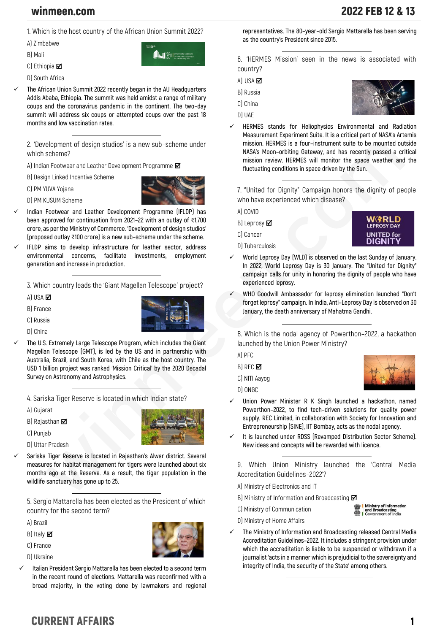**1. Which is the host country of the African Union Summit 2022?**

**M** 15th Sepinary

**A) Zimbabwe**

**B) Mali**

- **C) Ethiopia**
- **D) South Africa**

✓ **The African Union Summit 2022 recently began in the AU Headquarters Addis Ababa, Ethiopia. The summit was held amidst a range of military coups and the coronavirus pandemic in the continent. The two–day summit will address six coups or attempted coups over the past 18 months and low vaccination rates.**

**2. 'Development of design studios' is a new sub–scheme under which scheme?**

**A) Indian Footwear and Leather Development Programme** 

**B) Design Linked Incentive Scheme**

**C) PM YUVA Yojana**

**D) PM KUSUM Scheme**

- ✓ **Indian Footwear and Leather Development Programme (IFLDP) has been approved for continuation from 2021–22 with an outlay of** ₹**1,700 crore, as per the Ministry of Commerce. 'Development of design studios' (proposed outlay** ₹**100 crore) is a new sub–scheme under the scheme.**
- ✓ **IFLDP aims to develop infrastructure for leather sector, address environmental concerns, facilitate investments, employment generation and increase in production.**

**3. Which country leads the 'Giant Magellan Telescope' project?**

**A) USA**

- **B) France**
- **C) Russia**



✓ **The U.S. Extremely Large Telescope Program, which includes the Giant Magellan Telescope (GMT), is led by the US and in partnership with Australia, Brazil, and South Korea, with Chile as the host country. The USD 1 billion project was ranked 'Mission Critical' by the 2020 Decadal Survey on Astronomy and Astrophysics.** 

**4. Sariska Tiger Reserve is located in which Indian state?**

**A) Gujarat**

**B) Rajasthan**

**C) Punjab**



- **D) Uttar Pradesh**
- Sariska Tiger Reserve is located in Rajasthan's Alwar district. Several **measures for habitat management for tigers were launched about six months ago at the Reserve. As a result, the tiger population in the wildlife sanctuary has gone up to 25.**

**5. Sergio Mattarella has been elected as the President of which country for the second term?**

**A) Brazil**

**B) Italy** 

**C) France**

**D) Ukraine**

✓ **Italian President Sergio Mattarella has been elected to a second term in the recent round of elections. Mattarella was reconfirmed with a broad majority, in the voting done by lawmakers and regional**  **representatives. The 80–year–old Sergio Mattarella has been serving as the country's President since 2015.**

**6. 'HERMES Mission' seen in the news is associated with country?**

**A) USA** 

**B) Russia**

- **C) China**
- **D) UAE**
- ✓ **HERMES stands for Heliophysics Environmental and Radiation Measurement Experiment Suite. It is a critical part of NASA's Artemis mission. HERMES is a four–instrument suite to be mounted outside NASA's Moon–orbiting Gateway, and has recently passed a critical mission review. HERMES will monitor the space weather and the fluctuating conditions in space driven by the Sun.**

**7. "United for Dignity" Campaign honors the dignity of people who have experienced which disease?**

**A) COVID**

- **B) Leprosy**
- **C) Cancer D) Tuberculosis**



- World Leprosy Day (WLD) is observed on the last Sunday of January. **In 2022, World Leprosy Day is 30 January. The "United for Dignity" campaign calls for unity in honoring the dignity of people who have experienced leprosy.**
- ✓ **WHO Goodwill Ambassador for leprosy elimination launched "Don't forget leprosy" campaign. In India, Anti–Leprosy Day is observed on 30 January, the death anniversary of Mahatma Gandhi.**

**8. Which is the nodal agency of Powerthon–2022, a hackathon launched by the Union Power Ministry?**

**A) PFC**

**B) REC**

**C) NITI Aayog**

**D) ONGC**

- ✓ **Union Power Minister R K Singh launched a hackathon, named Powerthon–2022, to find tech–driven solutions for quality power supply. REC Limited, in collaboration with Society for Innovation and Entrepreneurship (SINE), IIT Bombay, acts as the nodal agency.**
- It is launched under RDSS (Revamped Distribution Sector Scheme). **New ideas and concepts will be rewarded with licence.**

**9. Which Union Ministry launched the 'Central Media Accreditation Guidelines–2022'?**

**A) Ministry of Electronics and IT**

- **B) Ministry of Information and Broadcasting**
- **C) Ministry of Communication**



- **D) Ministry of Home Affairs**
- ✓ **The Ministry of Information and Broadcasting released Central Media Accreditation Guidelines–2022. It includes a stringent provision under which the accreditation is liable to be suspended or withdrawn if a journalist 'acts in a manner which is prejudicial to the sovereignty and integrity of India, the security of the State' among others.**